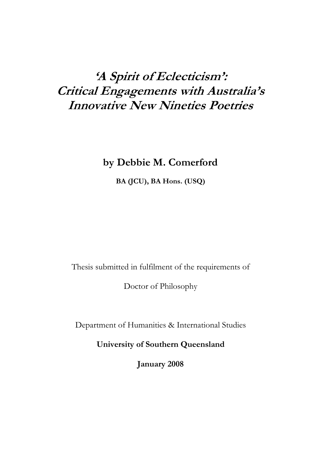# **'A Spirit of Eclecticism': Critical Engagements with Australia's Innovative New Nineties Poetries**

## **by Debbie M. Comerford**

**BA (JCU), BA Hons. (USQ)** 

Thesis submitted in fulfilment of the requirements of

Doctor of Philosophy

Department of Humanities & International Studies

**University of Southern Queensland** 

**January 2008**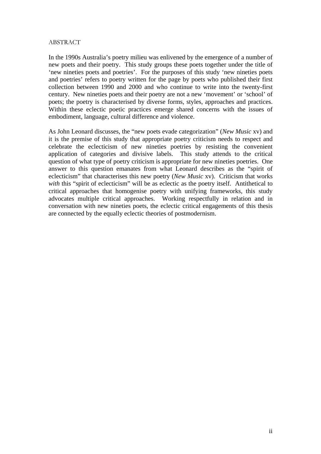#### ABSTRACT

In the 1990s Australia's poetry milieu was enlivened by the emergence of a number of new poets and their poetry. This study groups these poets together under the title of 'new nineties poets and poetries'. For the purposes of this study 'new nineties poets and poetries' refers to poetry written for the page by poets who published their first collection between 1990 and 2000 and who continue to write into the twenty-first century. New nineties poets and their poetry are not a new 'movement' or 'school' of poets; the poetry is characterised by diverse forms, styles, approaches and practices. Within these eclectic poetic practices emerge shared concerns with the issues of embodiment, language, cultural difference and violence.

As John Leonard discusses, the "new poets evade categorization" (*New Music* xv) and it is the premise of this study that appropriate poetry criticism needs to respect and celebrate the eclecticism of new nineties poetries by resisting the convenient application of categories and divisive labels. This study attends to the critical question of what type of poetry criticism is appropriate for new nineties poetries. One answer to this question emanates from what Leonard describes as the "spirit of eclecticism" that characterises this new poetry (*New Music* xv). Criticism that works with this "spirit of eclecticism" will be as eclectic as the poetry itself. Antithetical to critical approaches that homogenise poetry with unifying frameworks, this study advocates multiple critical approaches. Working respectfully in relation and in conversation with new nineties poets, the eclectic critical engagements of this thesis are connected by the equally eclectic theories of postmodernism.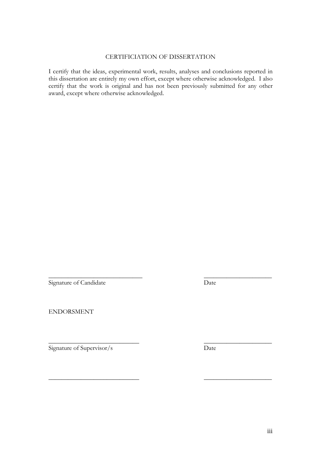#### CERTIFICIATION OF DISSERTATION

I certify that the ideas, experimental work, results, analyses and conclusions reported in this dissertation are entirely my own effort, except where otherwise acknowledged. I also certify that the work is original and has not been previously submitted for any other award, except where otherwise acknowledged.

 $\overline{\phantom{a}}$  , and the contract of the contract of the contract of the contract of the contract of the contract of the contract of the contract of the contract of the contract of the contract of the contract of the contrac

 $\overline{\phantom{a}}$  , and the contract of the contract of the contract of the contract of the contract of the contract of the contract of the contract of the contract of the contract of the contract of the contract of the contrac

 $\overline{\phantom{a}}$  , and the contract of the contract of the contract of the contract of the contract of the contract of the contract of the contract of the contract of the contract of the contract of the contract of the contrac

Signature of Candidate Date

ENDORSMENT

Signature of Supervisor/s Date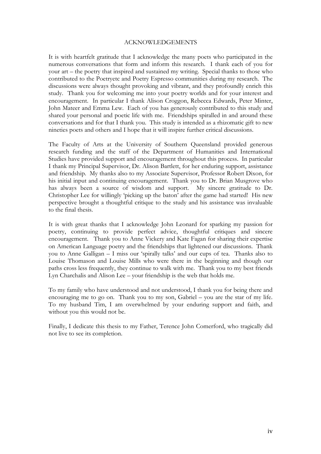#### ACKNOWLEDGEMENTS

It is with heartfelt gratitude that I acknowledge the many poets who participated in the numerous conversations that form and inform this research. I thank each of you for your art – the poetry that inspired and sustained my writing. Special thanks to those who contributed to the Poetryetc and Poetry Espresso communities during my research. The discussions were always thought provoking and vibrant, and they profoundly enrich this study. Thank you for welcoming me into your poetry worlds and for your interest and encouragement. In particular I thank Alison Croggon, Rebecca Edwards, Peter Minter, John Mateer and Emma Lew. Each of you has generously contributed to this study and shared your personal and poetic life with me. Friendships spiralled in and around these conversations and for that I thank you. This study is intended as a rhizomatic gift to new nineties poets and others and I hope that it will inspire further critical discussions.

The Faculty of Arts at the University of Southern Queensland provided generous research funding and the staff of the Department of Humanities and International Studies have provided support and encouragement throughout this process. In particular I thank my Principal Supervisor, Dr. Alison Bartlett, for her enduring support, assistance and friendship. My thanks also to my Associate Supervisor, Professor Robert Dixon, for his initial input and continuing encouragement. Thank you to Dr. Brian Musgrove who has always been a source of wisdom and support. My sincere gratitude to Dr. Christopher Lee for willingly 'picking up the baton' after the game had started! His new perspective brought a thoughtful critique to the study and his assistance was invaluable to the final thesis.

It is with great thanks that I acknowledge John Leonard for sparking my passion for poetry, continuing to provide perfect advice, thoughtful critiques and sincere encouragement. Thank you to Anne Vickery and Kate Fagan for sharing their expertise on American Language poetry and the friendships that lightened our discussions. Thank you to Anne Galligan – I miss our 'spirally talks' and our cups of tea. Thanks also to Louise Thomason and Louise Mills who were there in the beginning and though our paths cross less frequently, they continue to walk with me. Thank you to my best friends Lyn Charchalis and Alison Lee – your friendship is the web that holds me.

To my family who have understood and not understood, I thank you for being there and encouraging me to go on. Thank you to my son, Gabriel – you are the star of my life. To my husband Tim, I am overwhelmed by your enduring support and faith, and without you this would not be.

Finally, I dedicate this thesis to my Father, Terence John Comerford, who tragically did not live to see its completion.